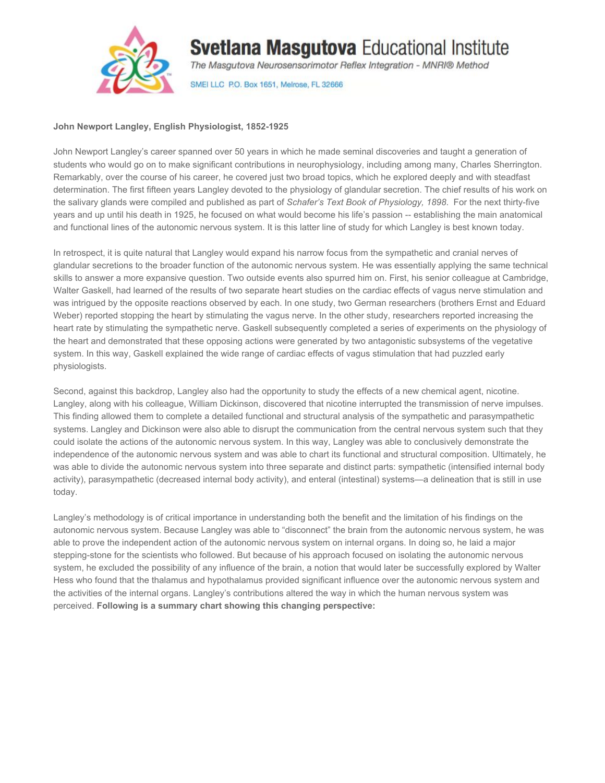

## **Svetlana Masgutova Educational Institute**

The Masgutova Neurosensorimotor Reflex Integration - MNRI® Method

SMEI LLC P.O. Box 1651, Melrose, FL 32666

## **John Newport Langley, English Physiologist, 1852-1925**

John Newport Langley's career spanned over 50 years in which he made seminal discoveries and taught a generation of students who would go on to make significant contributions in neurophysiology, including among many, Charles Sherrington. Remarkably, over the course of his career, he covered just two broad topics, which he explored deeply and with steadfast determination. The first fifteen years Langley devoted to the physiology of glandular secretion. The chief results of his work on the salivary glands were compiled and published as part of *Schafer's Text Book of Physiology, 1898*. For the next thirty-five years and up until his death in 1925, he focused on what would become his life's passion -- establishing the main anatomical and functional lines of the autonomic nervous system. It is this latter line of study for which Langley is best known today.

In retrospect, it is quite natural that Langley would expand his narrow focus from the sympathetic and cranial nerves of glandular secretions to the broader function of the autonomic nervous system. He was essentially applying the same technical skills to answer a more expansive question. Two outside events also spurred him on. First, his senior colleague at Cambridge, Walter Gaskell, had learned of the results of two separate heart studies on the cardiac effects of vagus nerve stimulation and was intrigued by the opposite reactions observed by each. In one study, two German researchers (brothers Ernst and Eduard Weber) reported stopping the heart by stimulating the vagus nerve. In the other study, researchers reported increasing the heart rate by stimulating the sympathetic nerve. Gaskell subsequently completed a series of experiments on the physiology of the heart and demonstrated that these opposing actions were generated by two antagonistic subsystems of the vegetative system. In this way, Gaskell explained the wide range of cardiac effects of vagus stimulation that had puzzled early physiologists.

Second, against this backdrop, Langley also had the opportunity to study the effects of a new chemical agent, nicotine. Langley, along with his colleague, William Dickinson, discovered that nicotine interrupted the transmission of nerve impulses. This finding allowed them to complete a detailed functional and structural analysis of the sympathetic and parasympathetic systems. Langley and Dickinson were also able to disrupt the communication from the central nervous system such that they could isolate the actions of the autonomic nervous system. In this way, Langley was able to conclusively demonstrate the independence of the autonomic nervous system and was able to chart its functional and structural composition. Ultimately, he was able to divide the autonomic nervous system into three separate and distinct parts: sympathetic (intensified internal body activity), parasympathetic (decreased internal body activity), and enteral (intestinal) systems—a delineation that is still in use today.

Langley's methodology is of critical importance in understanding both the benefit and the limitation of his findings on the autonomic nervous system. Because Langley was able to "disconnect" the brain from the autonomic nervous system, he was able to prove the independent action of the autonomic nervous system on internal organs. In doing so, he laid a major stepping-stone for the scientists who followed. But because of his approach focused on isolating the autonomic nervous system, he excluded the possibility of any influence of the brain, a notion that would later be successfully explored by Walter Hess who found that the thalamus and hypothalamus provided significant influence over the autonomic nervous system and the activities of the internal organs. Langley's contributions altered the way in which the human nervous system was perceived. **Following is a summary chart showing this changing perspective:**